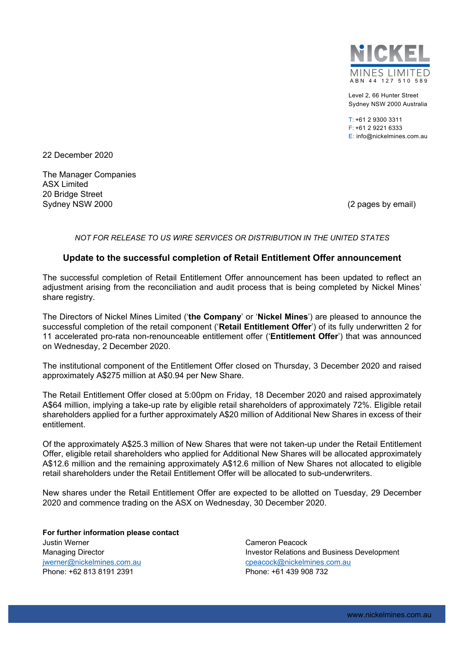

Level 2, 66 Hunter Street Sydney NSW 2000 Australia

 $T: +61293003311$ F: +61 2 9221 6333 E: info@nickelmines.com.au

22 December 2020

The Manager Companies ASX Limited 20 Bridge Street Sydney NSW 2000 (2 pages by email)

*NOT FOR RELEASE TO US WIRE SERVICES OR DISTRIBUTION IN THE UNITED STATES* 

## **Update to the successful completion of Retail Entitlement Offer announcement**

The successful completion of Retail Entitlement Offer announcement has been updated to reflect an adjustment arising from the reconciliation and audit process that is being completed by Nickel Mines' share registry.

The Directors of Nickel Mines Limited ('**the Company**' or '**Nickel Mines**') are pleased to announce the successful completion of the retail component ('**Retail Entitlement Offer**') of its fully underwritten 2 for 11 accelerated pro-rata non-renounceable entitlement offer ('**Entitlement Offer**') that was announced on Wednesday, 2 December 2020.

The institutional component of the Entitlement Offer closed on Thursday, 3 December 2020 and raised approximately A\$275 million at A\$0.94 per New Share.

The Retail Entitlement Offer closed at 5:00pm on Friday, 18 December 2020 and raised approximately A\$64 million, implying a take-up rate by eligible retail shareholders of approximately 72%. Eligible retail shareholders applied for a further approximately A\$20 million of Additional New Shares in excess of their entitlement.

Of the approximately A\$25.3 million of New Shares that were not taken-up under the Retail Entitlement Offer, eligible retail shareholders who applied for Additional New Shares will be allocated approximately A\$12.6 million and the remaining approximately A\$12.6 million of New Shares not allocated to eligible retail shareholders under the Retail Entitlement Offer will be allocated to sub-underwriters.

New shares under the Retail Entitlement Offer are expected to be allotted on Tuesday, 29 December 2020 and commence trading on the ASX on Wednesday, 30 December 2020.

**For further information please contact**  Justin Werner Managing Director jwerner@nickelmines.com.au Phone: +62 813 8191 2391

Cameron Peacock Investor Relations and Business Development cpeacock@nickelmines.com.au Phone: +61 439 908 732